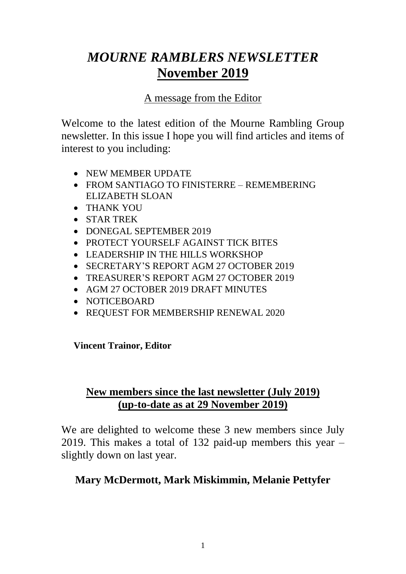# *MOURNE RAMBLERS NEWSLETTER* **November 2019**

### A message from the Editor

Welcome to the latest edition of the Mourne Rambling Group newsletter. In this issue I hope you will find articles and items of interest to you including:

- NEW MEMBER UPDATE
- FROM SANTIAGO TO FINISTERRE REMEMBERING ELIZABETH SLOAN
- THANK YOU
- STAR TREK
- DONEGAL SEPTEMBER 2019
- PROTECT YOURSELF AGAINST TICK BITES
- LEADERSHIP IN THE HILLS WORKSHOP
- SECRETARY'S REPORT AGM 27 OCTOBER 2019
- TREASURER'S REPORT AGM 27 OCTOBER 2019
- AGM 27 OCTOBER 2019 DRAFT MINUTES
- NOTICEBOARD
- REQUEST FOR MEMBERSHIP RENEWAL 2020

**Vincent Trainor, Editor**

### **New members since the last newsletter (July 2019) (up-to-date as at 29 November 2019)**

We are delighted to welcome these 3 new members since July 2019. This makes a total of 132 paid-up members this year – slightly down on last year.

### **Mary McDermott, Mark Miskimmin, Melanie Pettyfer**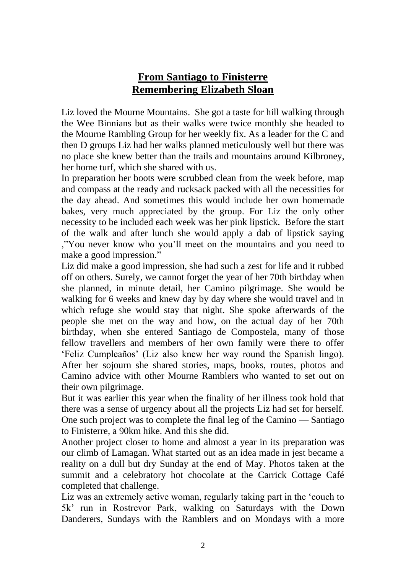### **From Santiago to Finisterre Remembering Elizabeth Sloan**

Liz loved the Mourne Mountains. She got a taste for hill walking through the Wee Binnians but as their walks were twice monthly she headed to the Mourne Rambling Group for her weekly fix. As a leader for the C and then D groups Liz had her walks planned meticulously well but there was no place she knew better than the trails and mountains around Kilbroney, her home turf, which she shared with us.

In preparation her boots were scrubbed clean from the week before, map and compass at the ready and rucksack packed with all the necessities for the day ahead. And sometimes this would include her own homemade bakes, very much appreciated by the group. For Liz the only other necessity to be included each week was her pink lipstick. Before the start of the walk and after lunch she would apply a dab of lipstick saying ,"You never know who you'll meet on the mountains and you need to make a good impression."

Liz did make a good impression, she had such a zest for life and it rubbed off on others. Surely, we cannot forget the year of her 70th birthday when she planned, in minute detail, her Camino pilgrimage. She would be walking for 6 weeks and knew day by day where she would travel and in which refuge she would stay that night. She spoke afterwards of the people she met on the way and how, on the actual day of her 70th birthday, when she entered Santiago de Compostela, many of those fellow travellers and members of her own family were there to offer 'Feliz Cumpleaños' (Liz also knew her way round the Spanish lingo). After her sojourn she shared stories, maps, books, routes, photos and Camino advice with other Mourne Ramblers who wanted to set out on their own pilgrimage.

But it was earlier this year when the finality of her illness took hold that there was a sense of urgency about all the projects Liz had set for herself. One such project was to complete the final leg of the Camino — Santiago to Finisterre, a 90km hike. And this she did.

Another project closer to home and almost a year in its preparation was our climb of Lamagan. What started out as an idea made in jest became a reality on a dull but dry Sunday at the end of May. Photos taken at the summit and a celebratory hot chocolate at the Carrick Cottage Café completed that challenge.

Liz was an extremely active woman, regularly taking part in the 'couch to 5k' run in Rostrevor Park, walking on Saturdays with the Down Danderers, Sundays with the Ramblers and on Mondays with a more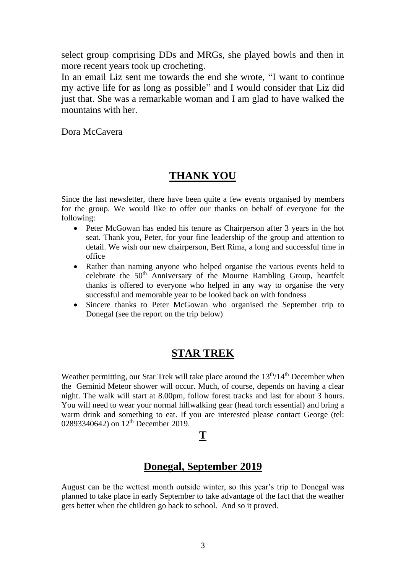select group comprising DDs and MRGs, she played bowls and then in more recent years took up crocheting.

In an email Liz sent me towards the end she wrote, "I want to continue my active life for as long as possible" and I would consider that Liz did just that. She was a remarkable woman and I am glad to have walked the mountains with her.

Dora McCavera

### **THANK YOU**

Since the last newsletter, there have been quite a few events organised by members for the group. We would like to offer our thanks on behalf of everyone for the following:

- Peter McGowan has ended his tenure as Chairperson after 3 years in the hot seat. Thank you, Peter, for your fine leadership of the group and attention to detail. We wish our new chairperson, Bert Rima, a long and successful time in office
- Rather than naming anyone who helped organise the various events held to celebrate the 50<sup>th</sup> Anniversary of the Mourne Rambling Group, heartfelt thanks is offered to everyone who helped in any way to organise the very successful and memorable year to be looked back on with fondness
- Sincere thanks to Peter McGowan who organised the September trip to Donegal (see the report on the trip below)

### **STAR TREK**

Weather permitting, our Star Trek will take place around the 13<sup>th</sup>/14<sup>th</sup> December when the Geminid Meteor shower will occur. Much, of course, depends on having a clear night. The walk will start at 8.00pm, follow forest tracks and last for about 3 hours. You will need to wear your normal hillwalking gear (head torch essential) and bring a warm drink and something to eat. If you are interested please contact George (tel: 02893340642) on 12<sup>th</sup> December 2019.

#### **T**

### **Donegal, September 2019**

August can be the wettest month outside winter, so this year's trip to Donegal was planned to take place in early September to take advantage of the fact that the weather gets better when the children go back to school. And so it proved.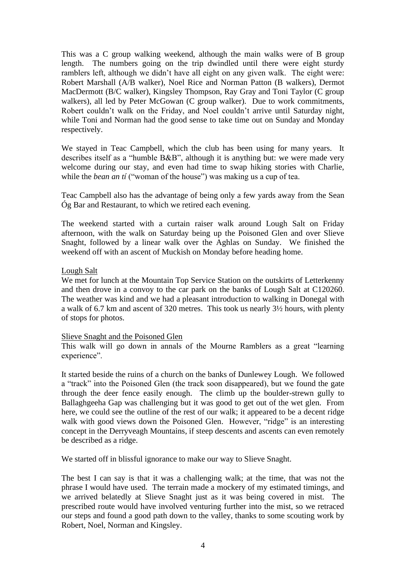This was a C group walking weekend, although the main walks were of B group length. The numbers going on the trip dwindled until there were eight sturdy ramblers left, although we didn't have all eight on any given walk. The eight were: Robert Marshall (A/B walker), Noel Rice and Norman Patton (B walkers), Dermot MacDermott (B/C walker), Kingsley Thompson, Ray Gray and Toni Taylor (C group walkers), all led by Peter McGowan (C group walker). Due to work commitments, Robert couldn't walk on the Friday, and Noel couldn't arrive until Saturday night, while Toni and Norman had the good sense to take time out on Sunday and Monday respectively.

We stayed in Teac Campbell, which the club has been using for many years. It describes itself as a "humble B&B", although it is anything but: we were made very welcome during our stay, and even had time to swap hiking stories with Charlie, while the *bean an tí* ("woman of the house") was making us a cup of tea.

Teac Campbell also has the advantage of being only a few yards away from the Sean Óg Bar and Restaurant, to which we retired each evening.

The weekend started with a curtain raiser walk around Lough Salt on Friday afternoon, with the walk on Saturday being up the Poisoned Glen and over Slieve Snaght, followed by a linear walk over the Aghlas on Sunday. We finished the weekend off with an ascent of Muckish on Monday before heading home.

#### Lough Salt

We met for lunch at the Mountain Top Service Station on the outskirts of Letterkenny and then drove in a convoy to the car park on the banks of Lough Salt at C120260. The weather was kind and we had a pleasant introduction to walking in Donegal with a walk of 6.7 km and ascent of 320 metres. This took us nearly 3½ hours, with plenty of stops for photos.

#### Slieve Snaght and the Poisoned Glen

This walk will go down in annals of the Mourne Ramblers as a great "learning experience".

It started beside the ruins of a church on the banks of Dunlewey Lough. We followed a "track" into the Poisoned Glen (the track soon disappeared), but we found the gate through the deer fence easily enough. The climb up the boulder-strewn gully to Ballaghgeeha Gap was challenging but it was good to get out of the wet glen. From here, we could see the outline of the rest of our walk; it appeared to be a decent ridge walk with good views down the Poisoned Glen. However, "ridge" is an interesting concept in the Derryveagh Mountains, if steep descents and ascents can even remotely be described as a ridge.

We started off in blissful ignorance to make our way to Slieve Snaght.

The best I can say is that it was a challenging walk; at the time, that was not the phrase I would have used. The terrain made a mockery of my estimated timings, and we arrived belatedly at Slieve Snaght just as it was being covered in mist. The prescribed route would have involved venturing further into the mist, so we retraced our steps and found a good path down to the valley, thanks to some scouting work by Robert, Noel, Norman and Kingsley.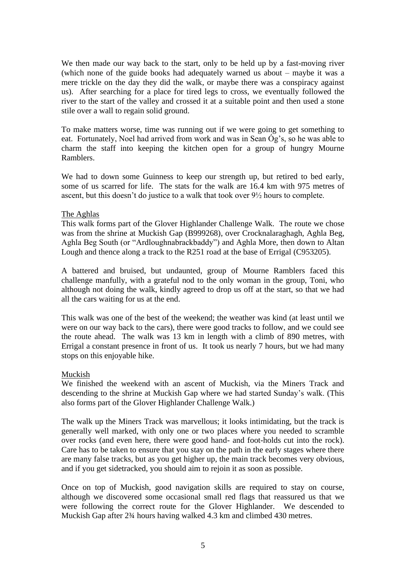We then made our way back to the start, only to be held up by a fast-moving river (which none of the guide books had adequately warned us about – maybe it was a mere trickle on the day they did the walk, or maybe there was a conspiracy against us). After searching for a place for tired legs to cross, we eventually followed the river to the start of the valley and crossed it at a suitable point and then used a stone stile over a wall to regain solid ground.

To make matters worse, time was running out if we were going to get something to eat. Fortunately, Noel had arrived from work and was in Sean Óg's, so he was able to charm the staff into keeping the kitchen open for a group of hungry Mourne Ramblers.

We had to down some Guinness to keep our strength up, but retired to bed early, some of us scarred for life. The stats for the walk are 16.4 km with 975 metres of ascent, but this doesn't do justice to a walk that took over 9½ hours to complete.

#### The Aghlas

This walk forms part of the Glover Highlander Challenge Walk. The route we chose was from the shrine at Muckish Gap (B999268), over Crocknalaraghagh, Aghla Beg, Aghla Beg South (or "Ardloughnabrackbaddy") and Aghla More, then down to Altan Lough and thence along a track to the R251 road at the base of Errigal (C953205).

A battered and bruised, but undaunted, group of Mourne Ramblers faced this challenge manfully, with a grateful nod to the only woman in the group, Toni, who although not doing the walk, kindly agreed to drop us off at the start, so that we had all the cars waiting for us at the end.

This walk was one of the best of the weekend; the weather was kind (at least until we were on our way back to the cars), there were good tracks to follow, and we could see the route ahead. The walk was 13 km in length with a climb of 890 metres, with Errigal a constant presence in front of us. It took us nearly 7 hours, but we had many stops on this enjoyable hike.

#### Muckish

We finished the weekend with an ascent of Muckish, via the Miners Track and descending to the shrine at Muckish Gap where we had started Sunday's walk. (This also forms part of the Glover Highlander Challenge Walk.)

The walk up the Miners Track was marvellous; it looks intimidating, but the track is generally well marked, with only one or two places where you needed to scramble over rocks (and even here, there were good hand- and foot-holds cut into the rock). Care has to be taken to ensure that you stay on the path in the early stages where there are many false tracks, but as you get higher up, the main track becomes very obvious, and if you get sidetracked, you should aim to rejoin it as soon as possible.

Once on top of Muckish, good navigation skills are required to stay on course, although we discovered some occasional small red flags that reassured us that we were following the correct route for the Glover Highlander. We descended to Muckish Gap after 2¾ hours having walked 4.3 km and climbed 430 metres.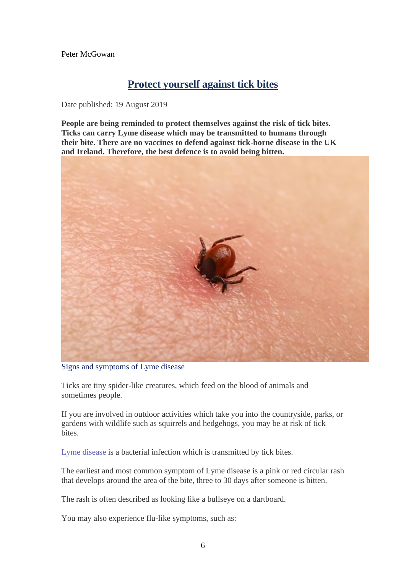Peter McGowan

### **Protect yourself against tick bites**

Date published: 19 August 2019

**People are being reminded to protect themselves against the risk of tick bites. Ticks can carry Lyme disease which may be transmitted to humans through their bite. There are no vaccines to defend against tick-borne disease in the UK and Ireland. Therefore, the best defence is to avoid being bitten.**



Signs and symptoms of Lyme disease

Ticks are tiny spider-like creatures, which feed on the blood of animals and sometimes people.

If you are involved in outdoor activities which take you into the countryside, parks, or gardens with wildlife such as squirrels and hedgehogs, you may be at risk of tick bites.

[Lyme disease](https://www.nidirect.gov.uk/conditions/lyme-disease) is a bacterial infection which is transmitted by tick bites.

The earliest and most common symptom of Lyme disease is a pink or red circular rash that develops around the area of the bite, three to 30 days after someone is bitten.

The rash is often described as looking like a bullseye on a dartboard.

You may also experience flu-like symptoms, such as: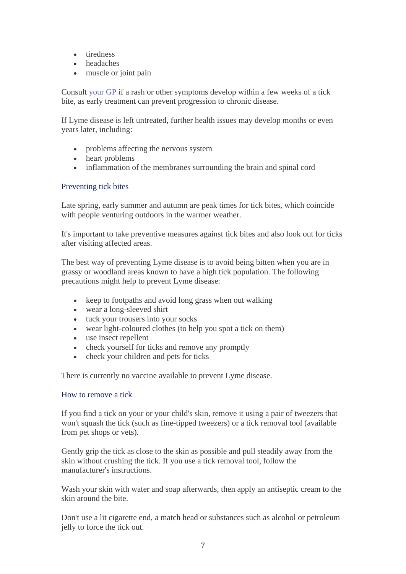- tiredness
- headaches
- muscle or joint pain

Consult [your GP](https://www.nidirect.gov.uk/articles/your-local-doctor-gp) if a rash or other symptoms develop within a few weeks of a tick bite, as early treatment can prevent progression to chronic disease.

If Lyme disease is left untreated, further health issues may develop months or even years later, including:

- problems affecting the nervous system
- heart problems
- inflammation of the membranes surrounding the brain and spinal cord

#### Preventing tick bites

Late spring, early summer and autumn are peak times for tick bites, which coincide with people venturing outdoors in the warmer weather.

It's important to take preventive measures against tick bites and also look out for ticks after visiting affected areas.

The best way of preventing Lyme disease is to avoid being bitten when you are in grassy or woodland areas known to have a high tick population. The following precautions might help to prevent Lyme disease:

- keep to footpaths and avoid long grass when out walking
- wear a long-sleeved shirt
- tuck your trousers into your socks
- wear light-coloured clothes (to help you spot a tick on them)
- use insect repellent
- check yourself for ticks and remove any promptly
- check your children and pets for ticks

There is currently no vaccine available to prevent Lyme disease.

#### How to remove a tick

If you find a tick on your or your child's skin, remove it using a pair of tweezers that won't squash the tick (such as fine-tipped tweezers) or a tick removal tool (available from pet shops or vets).

Gently grip the tick as close to the skin as possible and pull steadily away from the skin without crushing the tick. If you use a tick removal tool, follow the manufacturer's instructions.

Wash your skin with water and soap afterwards, then apply an antiseptic cream to the skin around the bite.

Don't use a lit cigarette end, a match head or substances such as alcohol or petroleum jelly to force the tick out.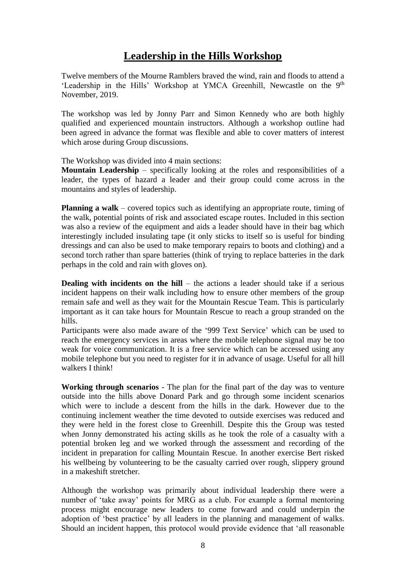### **Leadership in the Hills Workshop**

Twelve members of the Mourne Ramblers braved the wind, rain and floods to attend a 'Leadership in the Hills' Workshop at YMCA Greenhill, Newcastle on the 9<sup>th</sup> November, 2019.

The workshop was led by Jonny Parr and Simon Kennedy who are both highly qualified and experienced mountain instructors. Although a workshop outline had been agreed in advance the format was flexible and able to cover matters of interest which arose during Group discussions.

The Workshop was divided into 4 main sections:

**Mountain Leadership** – specifically looking at the roles and responsibilities of a leader, the types of hazard a leader and their group could come across in the mountains and styles of leadership.

**Planning a walk** – covered topics such as identifying an appropriate route, timing of the walk, potential points of risk and associated escape routes. Included in this section was also a review of the equipment and aids a leader should have in their bag which interestingly included insulating tape (it only sticks to itself so is useful for binding dressings and can also be used to make temporary repairs to boots and clothing) and a second torch rather than spare batteries (think of trying to replace batteries in the dark perhaps in the cold and rain with gloves on).

**Dealing with incidents on the hill** – the actions a leader should take if a serious incident happens on their walk including how to ensure other members of the group remain safe and well as they wait for the Mountain Rescue Team. This is particularly important as it can take hours for Mountain Rescue to reach a group stranded on the hills.

Participants were also made aware of the '999 Text Service' which can be used to reach the emergency services in areas where the mobile telephone signal may be too weak for voice communication. It is a free service which can be accessed using any mobile telephone but you need to register for it in advance of usage. Useful for all hill walkers I think!

**Working through scenarios** - The plan for the final part of the day was to venture outside into the hills above Donard Park and go through some incident scenarios which were to include a descent from the hills in the dark. However due to the continuing inclement weather the time devoted to outside exercises was reduced and they were held in the forest close to Greenhill. Despite this the Group was tested when Jonny demonstrated his acting skills as he took the role of a casualty with a potential broken leg and we worked through the assessment and recording of the incident in preparation for calling Mountain Rescue. In another exercise Bert risked his wellbeing by volunteering to be the casualty carried over rough, slippery ground in a makeshift stretcher.

Although the workshop was primarily about individual leadership there were a number of 'take away' points for MRG as a club. For example a formal mentoring process might encourage new leaders to come forward and could underpin the adoption of 'best practice' by all leaders in the planning and management of walks. Should an incident happen, this protocol would provide evidence that 'all reasonable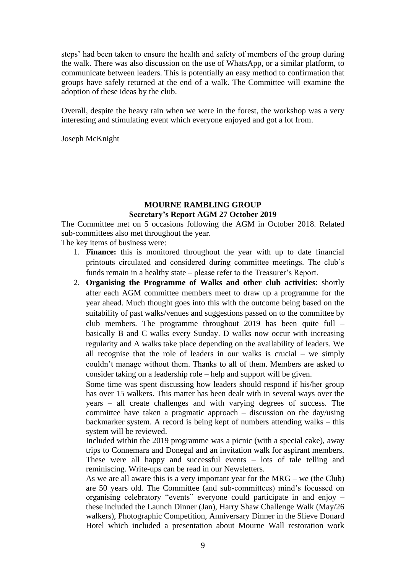steps' had been taken to ensure the health and safety of members of the group during the walk. There was also discussion on the use of WhatsApp, or a similar platform, to communicate between leaders. This is potentially an easy method to confirmation that groups have safely returned at the end of a walk. The Committee will examine the adoption of these ideas by the club.

Overall, despite the heavy rain when we were in the forest, the workshop was a very interesting and stimulating event which everyone enjoyed and got a lot from.

Joseph McKnight

#### **MOURNE RAMBLING GROUP Secretary's Report AGM 27 October 2019**

The Committee met on 5 occasions following the AGM in October 2018. Related sub-committees also met throughout the year.

The key items of business were:

- 1. **Finance:** this is monitored throughout the year with up to date financial printouts circulated and considered during committee meetings. The club's funds remain in a healthy state – please refer to the Treasurer's Report.
- 2. **Organising the Programme of Walks and other club activities**: shortly after each AGM committee members meet to draw up a programme for the year ahead. Much thought goes into this with the outcome being based on the suitability of past walks/venues and suggestions passed on to the committee by club members. The programme throughout 2019 has been quite full – basically B and C walks every Sunday. D walks now occur with increasing regularity and A walks take place depending on the availability of leaders. We all recognise that the role of leaders in our walks is crucial – we simply couldn't manage without them. Thanks to all of them. Members are asked to consider taking on a leadership role – help and support will be given.

Some time was spent discussing how leaders should respond if his/her group has over 15 walkers. This matter has been dealt with in several ways over the years – all create challenges and with varying degrees of success. The committee have taken a pragmatic approach – discussion on the day/using backmarker system. A record is being kept of numbers attending walks – this system will be reviewed.

Included within the 2019 programme was a picnic (with a special cake), away trips to Connemara and Donegal and an invitation walk for aspirant members. These were all happy and successful events – lots of tale telling and reminiscing. Write-ups can be read in our Newsletters.

As we are all aware this is a very important year for the MRG – we (the Club) are 50 years old. The Committee (and sub-committees) mind's focussed on organising celebratory "events" everyone could participate in and enjoy – these included the Launch Dinner (Jan), Harry Shaw Challenge Walk (May/26 walkers), Photographic Competition, Anniversary Dinner in the Slieve Donard Hotel which included a presentation about Mourne Wall restoration work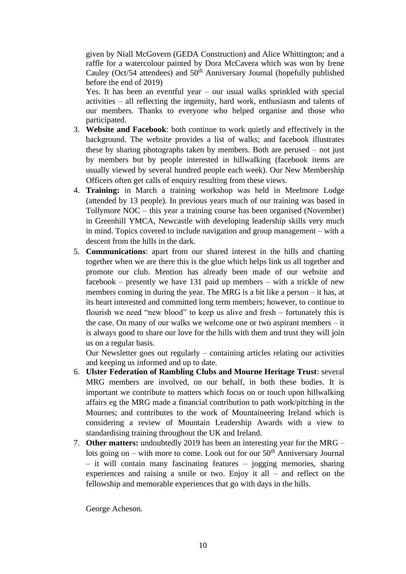given by Niall McGovern (GEDA Construction) and Alice Whittington; and a raffle for a watercolour painted by Dora McCavera which was won by Irene Cauley (Oct/54 attendees) and  $50<sup>th</sup>$  Anniversary Journal (hopefully published before the end of 2019)

Yes. It has been an eventful year – our usual walks sprinkled with special activities – all reflecting the ingenuity, hard work, enthusiasm and talents of our members. Thanks to everyone who helped organise and those who participated.

- 3. **Website and Facebook**: both continue to work quietly and effectively in the background. The website provides a list of walks; and facebook illustrates these by sharing photographs taken by members. Both are perused – not just by members but by people interested in hillwalking (facebook items are usually viewed by several hundred people each week). Our New Membership Officers often get calls of enquiry resulting from these views.
- 4. **Training:** in March a training workshop was held in Meelmore Lodge (attended by 13 people). In previous years much of our training was based in Tollymore NOC – this year a training course has been organised (November) in Greenhill YMCA, Newcastle with developing leadership skills very much in mind. Topics covered to include navigation and group management – with a descent from the hills in the dark.
- 5. **Communications**: apart from our shared interest in the hills and chatting together when we are there this is the glue which helps link us all together and promote our club. Mention has already been made of our website and facebook – presently we have 131 paid up members – with a trickle of new members coming in during the year. The MRG is a bit like a person – it has, at its heart interested and committed long term members; however, to continue to flourish we need "new blood" to keep us alive and fresh – fortunately this is the case. On many of our walks we welcome one or two aspirant members – it is always good to share our love for the hills with them and trust they will join us on a regular basis.

Our Newsletter goes out regularly – containing articles relating our activities and keeping us informed and up to date.

- 6. **Ulster Federation of Rambling Clubs and Mourne Heritage Trust**: several MRG members are involved, on our behalf, in both these bodies. It is important we contribute to matters which focus on or touch upon hillwalking affairs eg the MRG made a financial contribution to path work/pitching in the Mournes; and contributes to the work of Mountaineering Ireland which is considering a review of Mountain Leadership Awards with a view to standardising training throughout the UK and Ireland.
- 7. **Other matters:** undoubtedly 2019 has been an interesting year for the MRG lots going on – with more to come. Look out for our  $50<sup>th</sup>$  Anniversary Journal – it will contain many fascinating features – jogging memories, sharing experiences and raising a smile or two. Enjoy it all – and reflect on the fellowship and memorable experiences that go with days in the hills.

George Acheson.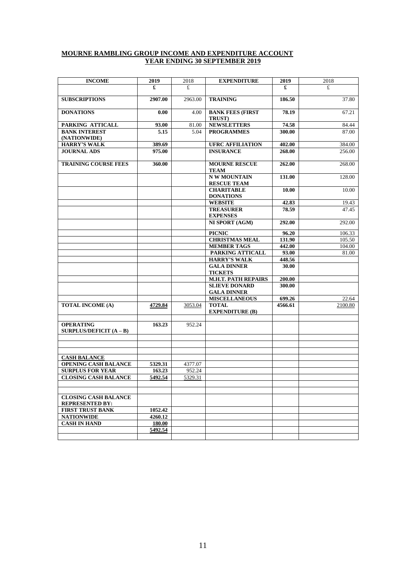#### **MOURNE RAMBLING GROUP INCOME AND EXPENDITURE ACCOUNT YEAR ENDING 30 SEPTEMBER 2019**

| <b>INCOME</b>                                                   | 2019    | 2018    | <b>EXPENDITURE</b>                                          | 2019            | 2018    |
|-----------------------------------------------------------------|---------|---------|-------------------------------------------------------------|-----------------|---------|
|                                                                 | £       | £.      |                                                             | £               | £       |
| <b>SUBSCRIPTIONS</b>                                            | 2907.00 | 2963.00 | <b>TRAINING</b>                                             | 186.50          | 37.80   |
| <b>DONATIONS</b>                                                | 0.00    | 4.00    | <b>BANK FEES (FIRST</b><br>TRUST)                           | 78.19           | 67.21   |
| PARKING ATTICALL                                                | 93.00   | 81.00   | <b>NEWSLETTERS</b>                                          | 74.58           | 84.44   |
| <b>BANK INTEREST</b><br>(NATIONWIDE)                            | 5.15    | 5.04    | <b>PROGRAMMES</b>                                           | 300.00          | 87.00   |
| <b>HARRY'S WALK</b>                                             | 389.69  |         | <b>UFRC AFFILIATION</b>                                     | 402.00          | 384.00  |
| <b>JOURNAL ADS</b>                                              | 975.00  |         | <b>INSURANCE</b>                                            | 268.00          | 256.00  |
| <b>TRAINING COURSE FEES</b>                                     | 360.00  |         | <b>MOURNE RESCUE</b><br><b>TEAM</b>                         | 262.00          | 268.00  |
|                                                                 |         |         | <b>N W MOUNTAIN</b><br><b>RESCUE TEAM</b>                   | 131.00          | 128.00  |
|                                                                 |         |         | <b>CHARITABLE</b><br><b>DONATIONS</b>                       | 10.00           | 10.00   |
|                                                                 |         |         | <b>WEBSITE</b>                                              | 42.83           | 19.43   |
|                                                                 |         |         | <b>TREASURER</b><br><b>EXPENSES</b>                         | 78.59           | 47.45   |
|                                                                 |         |         | NI SPORT (AGM)                                              | 292.00          | 292.00  |
|                                                                 |         |         | <b>PICNIC</b>                                               | 96.20           | 106.33  |
|                                                                 |         |         | <b>CHRISTMAS MEAL</b>                                       | 131.90          | 105.50  |
|                                                                 |         |         | <b>MEMBER TAGS</b>                                          | 442.00          | 104.00  |
|                                                                 |         |         | PARKING ATTICALL                                            | 93.00           | 81.00   |
|                                                                 |         |         | <b>HARRY'S WALK</b><br><b>GALA DINNER</b><br><b>TICKETS</b> | 448.56<br>30.00 |         |
|                                                                 |         |         | <b>M.H.T. PATH REPAIRS</b>                                  | 200.00          |         |
|                                                                 |         |         | <b>SLIEVE DONARD</b>                                        | 300.00          |         |
|                                                                 |         |         | <b>GALA DINNER</b>                                          |                 |         |
|                                                                 |         |         | <b>MISCELLANEOUS</b>                                        | 699.26          | 22.64   |
| <b>TOTAL INCOME (A)</b>                                         | 4729.84 | 3053.04 | <b>TOTAL</b><br><b>EXPENDITURE (B)</b>                      | 4566.61         | 2100.80 |
| <b>OPERATING</b><br><b>SURPLUS/DEFICIT <math>(A - B)</math></b> | 163.23  | 952.24  |                                                             |                 |         |
|                                                                 |         |         |                                                             |                 |         |
| <b>CASH BALANCE</b>                                             |         |         |                                                             |                 |         |
| <b>OPENING CASH BALANCE</b>                                     | 5329.31 | 4377.07 |                                                             |                 |         |
| <b>SURPLUS FOR YEAR</b>                                         | 163.23  | 952.24  |                                                             |                 |         |
| <b>CLOSING CASH BALANCE</b>                                     | 5492.54 | 5329.31 |                                                             |                 |         |
|                                                                 |         |         |                                                             |                 |         |
| <b>CLOSING CASH BALANCE</b><br><b>REPRESENTED BY:</b>           |         |         |                                                             |                 |         |
| <b>FIRST TRUST BANK</b>                                         | 1052.42 |         |                                                             |                 |         |
| <b>NATIONWIDE</b>                                               | 4260.12 |         |                                                             |                 |         |
| <b>CASH IN HAND</b>                                             | 180.00  |         |                                                             |                 |         |
|                                                                 | 5492.54 |         |                                                             |                 |         |
|                                                                 |         |         |                                                             |                 |         |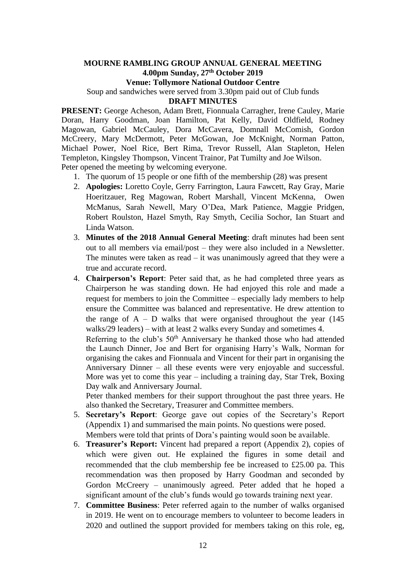#### **MOURNE RAMBLING GROUP ANNUAL GENERAL MEETING 4.00pm Sunday, 27th October 2019**

**Venue: Tollymore National Outdoor Centre**

Soup and sandwiches were served from 3.30pm paid out of Club funds

**DRAFT MINUTES**

**PRESENT:** George Acheson, Adam Brett, Fionnuala Carragher, Irene Cauley, Marie Doran, Harry Goodman, Joan Hamilton, Pat Kelly, David Oldfield, Rodney Magowan, Gabriel McCauley, Dora McCavera, Domnall McComish, Gordon McCreery, Mary McDermott, Peter McGowan, Joe McKnight, Norman Patton, Michael Power, Noel Rice, Bert Rima, Trevor Russell, Alan Stapleton, Helen Templeton, Kingsley Thompson, Vincent Trainor, Pat Tumilty and Joe Wilson. Peter opened the meeting by welcoming everyone.

- 1. The quorum of 15 people or one fifth of the membership (28) was present
- 2. **Apologies:** Loretto Coyle, Gerry Farrington, Laura Fawcett, Ray Gray, Marie Hoeritzauer, Reg Magowan, Robert Marshall, Vincent McKenna, Owen McManus, Sarah Newell, Mary O'Dea, Mark Patience, Maggie Pridgen, Robert Roulston, Hazel Smyth, Ray Smyth, Cecilia Sochor, Ian Stuart and Linda Watson.
- 3. **Minutes of the 2018 Annual General Meeting**: draft minutes had been sent out to all members via email/post – they were also included in a Newsletter. The minutes were taken as read  $-$  it was unanimously agreed that they were a true and accurate record.
- 4. **Chairperson's Report**: Peter said that, as he had completed three years as Chairperson he was standing down. He had enjoyed this role and made a request for members to join the Committee – especially lady members to help ensure the Committee was balanced and representative. He drew attention to the range of  $A - D$  walks that were organised throughout the year (145) walks/29 leaders) – with at least 2 walks every Sunday and sometimes 4.

Referring to the club's  $50<sup>th</sup>$  Anniversary he thanked those who had attended the Launch Dinner, Joe and Bert for organising Harry's Walk, Norman for organising the cakes and Fionnuala and Vincent for their part in organising the Anniversary Dinner – all these events were very enjoyable and successful. More was yet to come this year – including a training day, Star Trek, Boxing Day walk and Anniversary Journal.

Peter thanked members for their support throughout the past three years. He also thanked the Secretary, Treasurer and Committee members.

- 5. **Secretary's Report**: George gave out copies of the Secretary's Report (Appendix 1) and summarised the main points. No questions were posed. Members were told that prints of Dora's painting would soon be available.
- 6. **Treasurer's Report:** Vincent had prepared a report (Appendix 2), copies of which were given out. He explained the figures in some detail and recommended that the club membership fee be increased to £25.00 pa. This recommendation was then proposed by Harry Goodman and seconded by Gordon McCreery – unanimously agreed. Peter added that he hoped a significant amount of the club's funds would go towards training next year.
- 7. **Committee Business**: Peter referred again to the number of walks organised in 2019. He went on to encourage members to volunteer to become leaders in 2020 and outlined the support provided for members taking on this role, eg,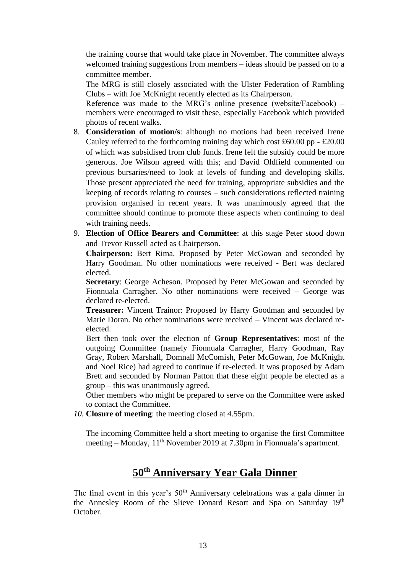the training course that would take place in November. The committee always welcomed training suggestions from members – ideas should be passed on to a committee member.

The MRG is still closely associated with the Ulster Federation of Rambling Clubs – with Joe McKnight recently elected as its Chairperson.

Reference was made to the MRG's online presence (website/Facebook) – members were encouraged to visit these, especially Facebook which provided photos of recent walks.

- 8. **Consideration of motion/s**: although no motions had been received Irene Cauley referred to the forthcoming training day which cost  $\text{\pounds}60.00 \text{ pp} - \text{\pounds}20.00$ of which was subsidised from club funds. Irene felt the subsidy could be more generous. Joe Wilson agreed with this; and David Oldfield commented on previous bursaries/need to look at levels of funding and developing skills. Those present appreciated the need for training, appropriate subsidies and the keeping of records relating to courses – such considerations reflected training provision organised in recent years. It was unanimously agreed that the committee should continue to promote these aspects when continuing to deal with training needs.
- 9. **Election of Office Bearers and Committee**: at this stage Peter stood down and Trevor Russell acted as Chairperson.

**Chairperson:** Bert Rima. Proposed by Peter McGowan and seconded by Harry Goodman. No other nominations were received - Bert was declared elected.

**Secretary**: George Acheson. Proposed by Peter McGowan and seconded by Fionnuala Carragher. No other nominations were received – George was declared re-elected.

**Treasurer:** Vincent Trainor: Proposed by Harry Goodman and seconded by Marie Doran. No other nominations were received – Vincent was declared reelected.

Bert then took over the election of **Group Representatives**: most of the outgoing Committee (namely Fionnuala Carragher, Harry Goodman, Ray Gray, Robert Marshall, Domnall McComish, Peter McGowan, Joe McKnight and Noel Rice) had agreed to continue if re-elected. It was proposed by Adam Brett and seconded by Norman Patton that these eight people be elected as a group – this was unanimously agreed.

Other members who might be prepared to serve on the Committee were asked to contact the Committee.

*10.* **Closure of meeting**: the meeting closed at 4.55pm.

The incoming Committee held a short meeting to organise the first Committee meeting – Monday,  $11<sup>th</sup>$  November 2019 at 7.30pm in Fionnuala's apartment.

# **50th Anniversary Year Gala Dinner**

The final event in this year's  $50<sup>th</sup>$  Anniversary celebrations was a gala dinner in the Annesley Room of the Slieve Donard Resort and Spa on Saturday 19th October.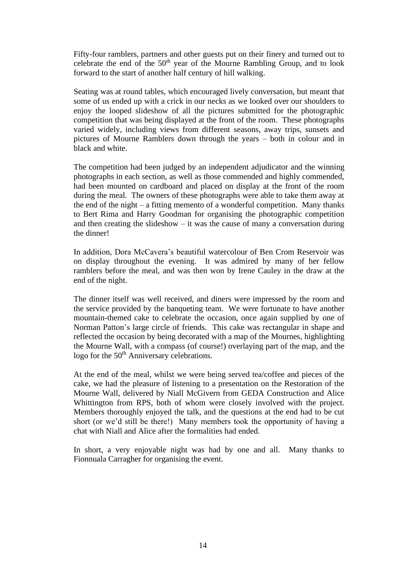Fifty-four ramblers, partners and other guests put on their finery and turned out to celebrate the end of the  $50<sup>th</sup>$  year of the Mourne Rambling Group, and to look forward to the start of another half century of hill walking.

Seating was at round tables, which encouraged lively conversation, but meant that some of us ended up with a crick in our necks as we looked over our shoulders to enjoy the looped slideshow of all the pictures submitted for the photographic competition that was being displayed at the front of the room. These photographs varied widely, including views from different seasons, away trips, sunsets and pictures of Mourne Ramblers down through the years – both in colour and in black and white.

The competition had been judged by an independent adjudicator and the winning photographs in each section, as well as those commended and highly commended, had been mounted on cardboard and placed on display at the front of the room during the meal. The owners of these photographs were able to take them away at the end of the night  $-$  a fitting memento of a wonderful competition. Many thanks to Bert Rima and Harry Goodman for organising the photographic competition and then creating the slideshow  $-$  it was the cause of many a conversation during the dinner!

In addition, Dora McCavera's beautiful watercolour of Ben Crom Reservoir was on display throughout the evening. It was admired by many of her fellow ramblers before the meal, and was then won by Irene Cauley in the draw at the end of the night.

The dinner itself was well received, and diners were impressed by the room and the service provided by the banqueting team. We were fortunate to have another mountain-themed cake to celebrate the occasion, once again supplied by one of Norman Patton's large circle of friends. This cake was rectangular in shape and reflected the occasion by being decorated with a map of the Mournes, highlighting the Mourne Wall, with a compass (of course!) overlaying part of the map, and the logo for the 50<sup>th</sup> Anniversary celebrations.

At the end of the meal, whilst we were being served tea/coffee and pieces of the cake, we had the pleasure of listening to a presentation on the Restoration of the Mourne Wall, delivered by Niall McGivern from GEDA Construction and Alice Whittington from RPS, both of whom were closely involved with the project. Members thoroughly enjoyed the talk, and the questions at the end had to be cut short (or we'd still be there!) Many members took the opportunity of having a chat with Niall and Alice after the formalities had ended.

In short, a very enjoyable night was had by one and all. Many thanks to Fionnuala Carragher for organising the event.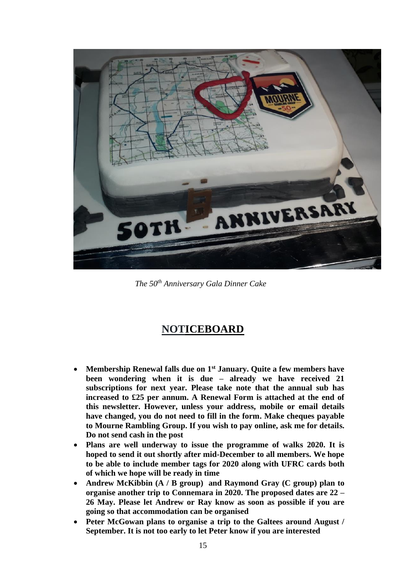

*The 50th Anniversary Gala Dinner Cake*

### **NOTICEBOARD**

- **Membership Renewal falls due on 1st January. Quite a few members have been wondering when it is due – already we have received 21 subscriptions for next year. Please take note that the annual sub has increased to £25 per annum. A Renewal Form is attached at the end of this newsletter. However, unless your address, mobile or email details have changed, you do not need to fill in the form. Make cheques payable to Mourne Rambling Group. If you wish to pay online, ask me for details. Do not send cash in the post**
- **Plans are well underway to issue the programme of walks 2020. It is hoped to send it out shortly after mid-December to all members. We hope to be able to include member tags for 2020 along with UFRC cards both of which we hope will be ready in time**
- **Andrew McKibbin (A / B group) and Raymond Gray (C group) plan to organise another trip to Connemara in 2020. The proposed dates are 22 – 26 May. Please let Andrew or Ray know as soon as possible if you are going so that accommodation can be organised**
- **Peter McGowan plans to organise a trip to the Galtees around August / September. It is not too early to let Peter know if you are interested**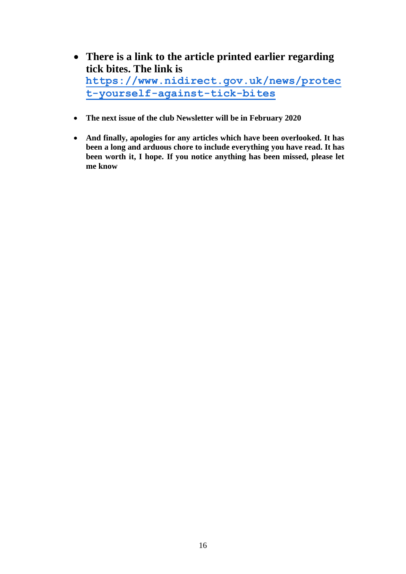- **There is a link to the article printed earlier regarding tick bites. The link is [https://www.nidirect.gov.uk/news/protec](https://www.nidirect.gov.uk/news/protect-yourself-against-tick-bites) [t-yourself-against-tick-bites](https://www.nidirect.gov.uk/news/protect-yourself-against-tick-bites)**
- **The next issue of the club Newsletter will be in February 2020**
- **And finally, apologies for any articles which have been overlooked. It has been a long and arduous chore to include everything you have read. It has been worth it, I hope. If you notice anything has been missed, please let me know**